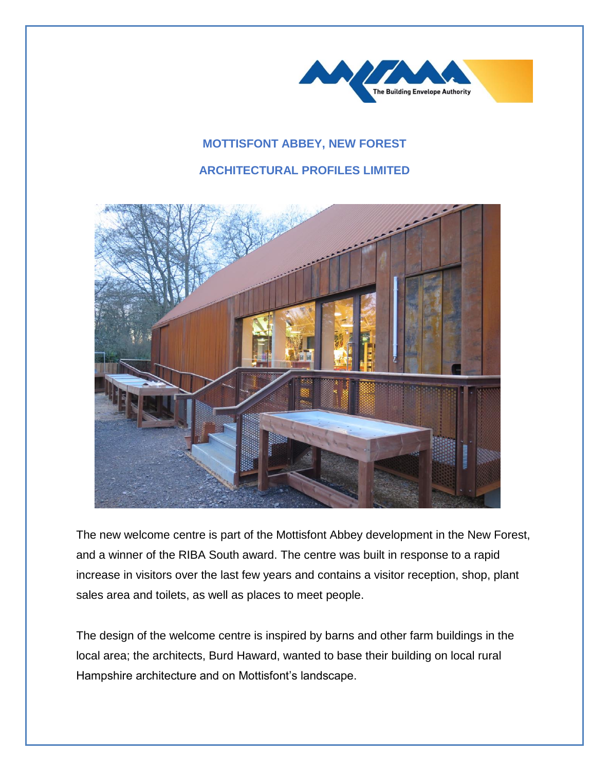

## **MOTTISFONT ABBEY, NEW FOREST**

## **ARCHITECTURAL PROFILES LIMITED**



The new welcome centre is part of the Mottisfont Abbey development in the New Forest, and a winner of the RIBA South award. The centre was built in response to a rapid increase in visitors over the last few years and contains a visitor reception, shop, plant sales area and toilets, as well as places to meet people.

The design of the welcome centre is inspired by barns and other farm buildings in the local area; the architects, Burd Haward, wanted to base their building on local rural Hampshire architecture and on Mottisfont's landscape.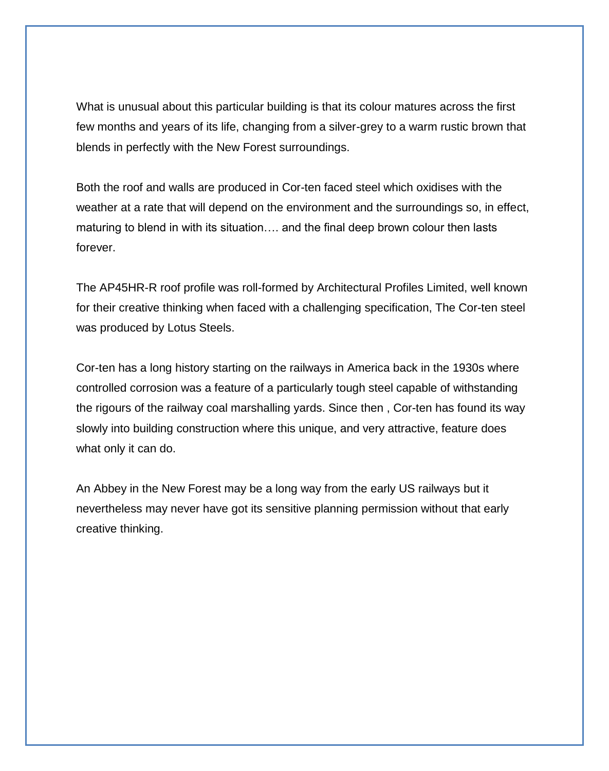What is unusual about this particular building is that its colour matures across the first few months and years of its life, changing from a silver-grey to a warm rustic brown that blends in perfectly with the New Forest surroundings.

Both the roof and walls are produced in Cor-ten faced steel which oxidises with the weather at a rate that will depend on the environment and the surroundings so, in effect, maturing to blend in with its situation…. and the final deep brown colour then lasts forever.

The AP45HR-R roof profile was roll-formed by Architectural Profiles Limited, well known for their creative thinking when faced with a challenging specification, The Cor-ten steel was produced by Lotus Steels.

Cor-ten has a long history starting on the railways in America back in the 1930s where controlled corrosion was a feature of a particularly tough steel capable of withstanding the rigours of the railway coal marshalling yards. Since then , Cor-ten has found its way slowly into building construction where this unique, and very attractive, feature does what only it can do.

An Abbey in the New Forest may be a long way from the early US railways but it nevertheless may never have got its sensitive planning permission without that early creative thinking.